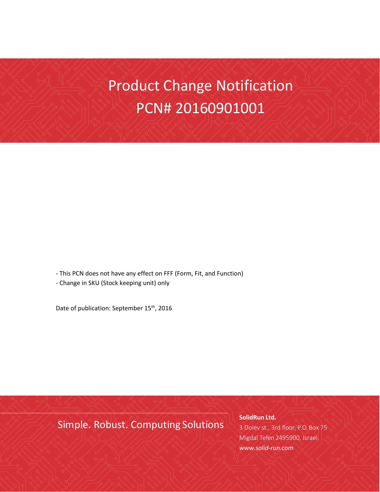# Product Change Notification PCN# 20160901001

- This PCN does not have any effect on FFF (Form, Fit, and Function)

- Change in SKU (Stock keeping unit) only

Date of publication: September 15<sup>th</sup>, 2016

Simple. Robust. Computing Solutions

**SolidRun Ltd.** 3 Dolev st., 3rd floor, P.O. Box 75 Migdal Tefen 2495900, Israel. *[www.solid-run.com](http://www.solid-run.com/)*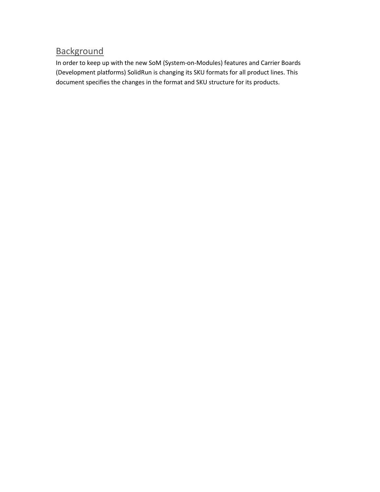### **Background**

In order to keep up with the new SoM (System-on-Modules) features and Carrier Boards (Development platforms) SolidRun is changing its SKU formats for all product lines. This document specifies the changes in the format and SKU structure for its products.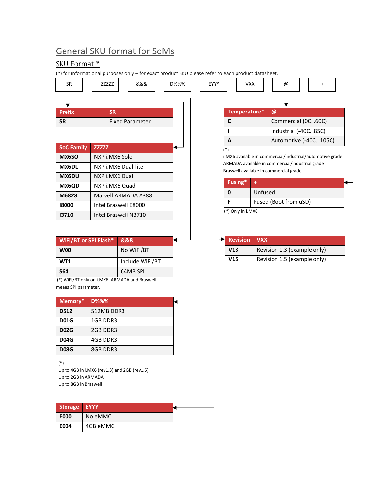## General SKU format for SoMs

### SKU Format \*

**E004** 4GB eMMC

|                                                       |                                              | (*) for informational purposes only – for exact product SKU please refer to each product datasheet. |      |      |              |                     |            |                                                                                           |   |  |
|-------------------------------------------------------|----------------------------------------------|-----------------------------------------------------------------------------------------------------|------|------|--------------|---------------------|------------|-------------------------------------------------------------------------------------------|---|--|
| <b>SR</b>                                             | ZZZZZZ                                       | &&&                                                                                                 | D%%% | EYYY |              | <b>VXX</b>          |            | @                                                                                         | + |  |
|                                                       |                                              |                                                                                                     |      |      |              |                     |            |                                                                                           |   |  |
| <b>Prefix</b>                                         | <b>SR</b>                                    |                                                                                                     |      |      |              | Temperature*        |            | @                                                                                         |   |  |
| <b>SR</b>                                             |                                              | <b>Fixed Parameter</b>                                                                              |      |      | C            |                     |            | Commercial (0C60C)                                                                        |   |  |
|                                                       |                                              |                                                                                                     |      |      | п            |                     |            | Industrial (-40C85C)                                                                      |   |  |
|                                                       |                                              |                                                                                                     |      |      | $\mathsf{A}$ |                     |            | Automotive (-40C105C)                                                                     |   |  |
| <b>SoC Family</b>                                     | <b>ZZZZZZ</b>                                |                                                                                                     |      |      | $(*)$        |                     |            |                                                                                           |   |  |
| MX6SO                                                 | NXP i.MX6 Solo                               |                                                                                                     |      |      |              |                     |            | i.MX6 available in commercial/industrial/automotive grade                                 |   |  |
| MX6DL                                                 |                                              | NXP i.MX6 Dual-lite                                                                                 |      |      |              |                     |            | ARMADA available in commercial/industrial grade<br>Braswell available in commercial grade |   |  |
| MX6DU                                                 | NXP i.MX6 Dual                               |                                                                                                     |      |      |              | Fusing*             | ÷          |                                                                                           |   |  |
| MX6QD                                                 |                                              | NXP i.MX6 Quad                                                                                      |      |      |              |                     |            |                                                                                           |   |  |
| M6828                                                 | Marvell ARMADA A388                          |                                                                                                     |      |      | 0<br>F       |                     | Unfused    |                                                                                           |   |  |
| 18000                                                 | Intel Braswell E8000                         |                                                                                                     |      |      |              | $(*)$ Only in i.MX6 |            | Fused (Boot from uSD)                                                                     |   |  |
| 13710                                                 |                                              | Intel Braswell N3710                                                                                |      |      |              |                     |            |                                                                                           |   |  |
|                                                       |                                              |                                                                                                     |      |      |              |                     |            |                                                                                           |   |  |
|                                                       | <b>WiFi/BT or SPI Flash*</b>                 | 888                                                                                                 |      |      |              | <b>Revision</b>     | <b>VXX</b> |                                                                                           |   |  |
| <b>W00</b>                                            |                                              | No WiFi/BT                                                                                          |      |      | V13          |                     |            | Revision 1.3 (example only)                                                               |   |  |
| WT1                                                   |                                              | Include WiFi/BT                                                                                     |      |      | V15          |                     |            | Revision 1.5 (example only)                                                               |   |  |
| <b>S64</b>                                            |                                              | 64MB SPI                                                                                            |      |      |              |                     |            |                                                                                           |   |  |
|                                                       |                                              | (*) WiFi/BT only on i.MX6. ARMADA and Braswell                                                      |      |      |              |                     |            |                                                                                           |   |  |
| means SPI parameter.                                  |                                              |                                                                                                     |      |      |              |                     |            |                                                                                           |   |  |
| Memory*                                               | <b>D%%%</b>                                  |                                                                                                     |      |      |              |                     |            |                                                                                           |   |  |
| D512                                                  | 512MB DDR3                                   |                                                                                                     |      |      |              |                     |            |                                                                                           |   |  |
| <b>D01G</b>                                           | 1GB DDR3                                     |                                                                                                     |      |      |              |                     |            |                                                                                           |   |  |
| <b>D02G</b>                                           | 2GB DDR3                                     |                                                                                                     |      |      |              |                     |            |                                                                                           |   |  |
| <b>D04G</b>                                           | 4GB DDR3                                     |                                                                                                     |      |      |              |                     |            |                                                                                           |   |  |
| <b>D08G</b>                                           | 8GB DDR3                                     |                                                                                                     |      |      |              |                     |            |                                                                                           |   |  |
| $(*)$<br>Up to 2GB in ARMADA<br>Up to 8GB in Braswell | Up to 4GB in i.MX6 (rev1.3) and 2GB (rev1.5) |                                                                                                     |      |      |              |                     |            |                                                                                           |   |  |
| <b>Storage</b>                                        | <b>EYYY</b>                                  |                                                                                                     |      |      |              |                     |            |                                                                                           |   |  |
| <b>E000</b>                                           | No eMMC                                      |                                                                                                     |      |      |              |                     |            |                                                                                           |   |  |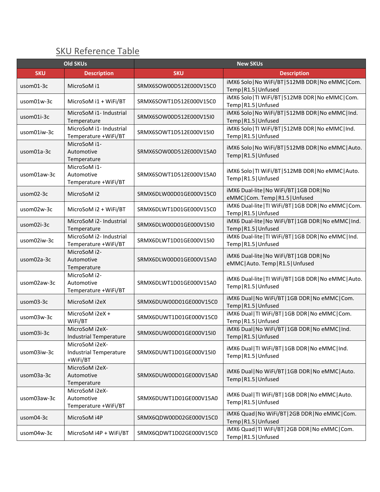## SKU Reference Table

|                                  | <b>Old SKUs</b>                                             | <b>New SKUs</b>         |                                                                                  |  |  |  |
|----------------------------------|-------------------------------------------------------------|-------------------------|----------------------------------------------------------------------------------|--|--|--|
| <b>SKU</b><br><b>Description</b> |                                                             | <b>SKU</b>              | <b>Description</b>                                                               |  |  |  |
| usom01-3c                        | MicroSoM i1                                                 | SRMX6SOW00D512E000V15C0 | iMX6 Solo   No WiFi/BT   512MB DDR   No eMMC   Com.<br>Temp   R1.5   Unfused     |  |  |  |
| usom01w-3c                       | MicroSoM i1 + WiFi/BT                                       | SRMX6SOWT1D512E000V15C0 | iMX6 Solo   TI WiFi/BT   512MB DDR   No eMMC   Com.<br>Temp R1.5 Unfused         |  |  |  |
| usom01i-3c                       | MicroSoM i1- Industrial<br>Temperature                      | SRMX6SOW00D512E000V15I0 | iMX6 Solo   No WiFi/BT   512MB DDR   No eMMC   Ind.<br>Temp R1.5 Unfused         |  |  |  |
| usom01iw-3c                      | MicroSoM i1- Industrial<br>Temperature +WiFi/BT             | SRMX6SOWT1D512E000V15I0 | iMX6 Solo   TI WiFi/BT   512MB DDR   No eMMC   Ind.<br>Temp   R1.5   Unfused     |  |  |  |
| usom01a-3c                       | MicroSoM i1-<br>Automotive<br>Temperature                   | SRMX6SOW00D512E000V15A0 | iMX6 Solo   No WiFi/BT   512MB DDR   No eMMC   Auto.<br>Temp R1.5 Unfused        |  |  |  |
| usom01aw-3c                      | MicroSoM i1-<br>Automotive<br>Temperature +WiFi/BT          | SRMX6SOWT1D512E000V15A0 | iMX6 Solo   TI WiFi/BT   512MB DDR   No eMMC   Auto.<br>Temp R1.5 Unfused        |  |  |  |
| usom02-3c                        | MicroSoM i2                                                 | SRMX6DLW00D01GE000V15C0 | iMX6 Dual-lite   No WiFi/BT   1GB DDR   No<br>eMMC Com. Temp R1.5 Unfused        |  |  |  |
| usom02w-3c                       | MicroSoM i2 + WiFi/BT                                       | SRMX6DLWT1D01GE000V15C0 | iMX6 Dual-lite   TI WiFi/BT   1GB DDR   No eMMC   Com.<br>Temp R1.5 Unfused      |  |  |  |
| usom02i-3c                       | MicroSoM i2- Industrial<br>Temperature                      | SRMX6DLW00D01GE000V15I0 | iMX6 Dual-lite   No WiFi/BT   1GB DDR   No eMMC   Ind.<br>Temp R1.5 Unfused      |  |  |  |
| usom02iw-3c                      | MicroSoM i2- Industrial<br>Temperature +WiFi/BT             | SRMX6DLWT1D01GE000V15I0 | iMX6 Dual-lite   TI WiFi/BT   1GB DDR   No eMMC   Ind.<br>Temp   R1.5   Unfused  |  |  |  |
| usom02a-3c                       | MicroSoM i2-<br>Automotive<br>Temperature                   | SRMX6DLW00D01GE000V15A0 | iMX6 Dual-lite   No WiFi/BT   1GB DDR   No<br>eMMC   Auto. Temp   R1.5   Unfused |  |  |  |
| usom02aw-3c                      | MicroSoM i2-<br>Automotive<br>Temperature +WiFi/BT          | SRMX6DLWT1D01GE000V15A0 | iMX6 Dual-lite   TI WiFi/BT   1GB DDR   No eMMC   Auto.<br>Temp R1.5 Unfused     |  |  |  |
| usom03-3c                        | MicroSoM i2eX                                               | SRMX6DUW00D01GE000V15C0 | iMX6 Dual   No WiFi/BT   1GB DDR   No eMMC   Com.<br>Temp R1.5 Unfused           |  |  |  |
| usom03w-3c                       | MicroSoM i2eX +<br>WiFi/BT                                  | SRMX6DUWT1D01GE000V15C0 | iMX6 Dual   TI WiFi/BT   1GB DDR   No eMMC   Com.<br>Temp R1.5 Unfused           |  |  |  |
| usom03i-3c                       | MicroSoM i2eX-<br><b>Industrial Temperature</b>             | SRMX6DUW00D01GE000V15I0 | iMX6 Dual   No WiFi/BT   1GB DDR   No eMMC   Ind.<br>Temp R1.5 Unfused           |  |  |  |
| usom03iw-3c                      | MicroSoM i2eX-<br><b>Industrial Temperature</b><br>+WiFi/BT | SRMX6DUWT1D01GE000V15I0 | iMX6 Dual   TI WiFi/BT   1GB DDR   No eMMC   Ind.<br>Temp   R1.5   Unfused       |  |  |  |
| usom03a-3c                       | MicroSoM i2eX-<br>Automotive<br>Temperature                 | SRMX6DUW00D01GE000V15A0 | iMX6 Dual   No WiFi/BT   1GB DDR   No eMMC   Auto.<br>Temp R1.5 Unfused          |  |  |  |
| usom03aw-3c                      | MicroSoM i2eX-<br>Automotive<br>Temperature +WiFi/BT        | SRMX6DUWT1D01GE000V15A0 | iMX6 Dual   TI WiFi/BT   1GB DDR   No eMMC   Auto.<br>Temp R1.5 Unfused          |  |  |  |
| usom04-3c                        | MicroSoM i4P                                                | SRMX6QDW00D02GE000V15C0 | iMX6 Quad   No WiFi/BT   2GB DDR   No eMMC   Com.<br>Temp R1.5 Unfused           |  |  |  |
| usom04w-3c                       | MicroSoM i4P + WiFi/BT                                      | SRMX6QDWT1D02GE000V15C0 | iMX6 Quad   TI WiFi/BT   2GB DDR   No eMMC   Com.<br>Temp R1.5 Unfused           |  |  |  |